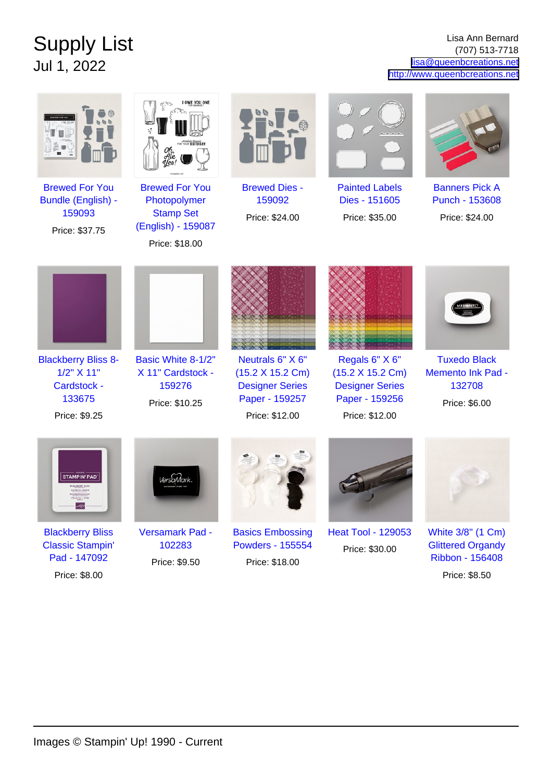## Supply List Jul 1, 2022

Lisa Ann Bernard (707) 513-7718 [lisa@queenbcreations.net](mailto:lisa@queenbcreations.net) <http://www.queenbcreations.net>

|                                                                                     | I OWE YOU ONE                                                                                     |                                                                                                    |                                                                                                  |                                                                                   |
|-------------------------------------------------------------------------------------|---------------------------------------------------------------------------------------------------|----------------------------------------------------------------------------------------------------|--------------------------------------------------------------------------------------------------|-----------------------------------------------------------------------------------|
| <b>Brewed For You</b><br><b>Bundle (English) -</b><br>159093<br>Price: \$37.75      | <b>Brewed For You</b><br>Photopolymer<br><b>Stamp Set</b><br>(English) - 159087<br>Price: \$18.00 | <b>Brewed Dies -</b><br>159092<br>Price: \$24.00                                                   | <b>Painted Labels</b><br>Dies - 151605<br>Price: \$35.00                                         | <b>Banners Pick A</b><br>Punch - 153608<br>Price: \$24.00                         |
|                                                                                     |                                                                                                   |                                                                                                    |                                                                                                  |                                                                                   |
| <b>Blackberry Bliss 8-</b><br>1/2" X 11"<br>Cardstock -<br>133675<br>Price: \$9.25  | Basic White 8-1/2"<br>X 11" Cardstock -<br>159276<br>Price: \$10.25                               | Neutrals 6" X 6"<br>(15.2 X 15.2 Cm)<br><b>Designer Series</b><br>Paper - 159257<br>Price: \$12.00 | Regals 6" X 6"<br>(15.2 X 15.2 Cm)<br><b>Designer Series</b><br>Paper - 159256<br>Price: \$12.00 | <b>Tuxedo Black</b><br>Memento Ink Pad -<br>132708<br>Price: \$6.00               |
| <b>STAMPIN' PAD</b><br>ACCEERRY BLA<br>LYFE DE CASS<br>$77777 - 797$<br>567         |                                                                                                   |                                                                                                    |                                                                                                  |                                                                                   |
| <b>Blackberry Bliss</b><br><b>Classic Stampin'</b><br>Pad - 147092<br>Price: \$8.00 | <b>Versamark Pad -</b><br>102283<br>Price: \$9.50                                                 | <b>Basics Embossing</b><br><b>Powders - 155554</b><br>Price: \$18.00                               | <b>Heat Tool - 129053</b><br>Price: \$30.00                                                      | White 3/8" (1 Cm)<br><b>Glittered Organdy</b><br>Ribbon - 156408<br>Price: \$8.50 |